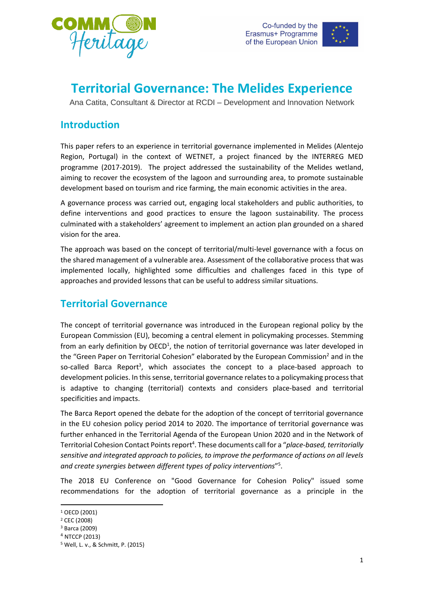



# **Territorial Governance: The Melides Experience**

Ana Catita, Consultant & Director at RCDI – Development and Innovation Network

## **Introduction**

This paper refers to an experience in territorial governance implemented in Melides (Alentejo Region, Portugal) in the context of WETNET, a project financed by the INTERREG MED programme (2017-2019). The project addressed the sustainability of the Melides wetland, aiming to recover the ecosystem of the lagoon and surrounding area, to promote sustainable development based on tourism and rice farming, the main economic activities in the area.

A governance process was carried out, engaging local stakeholders and public authorities, to define interventions and good practices to ensure the lagoon sustainability. The process culminated with a stakeholders' agreement to implement an action plan grounded on a shared vision for the area.

The approach was based on the concept of territorial/multi-level governance with a focus on the shared management of a vulnerable area. Assessment of the collaborative process that was implemented locally, highlighted some difficulties and challenges faced in this type of approaches and provided lessons that can be useful to address similar situations.

# **Territorial Governance**

The concept of territorial governance was introduced in the European regional policy by the European Commission (EU), becoming a central element in policymaking processes. Stemming from an early definition by OECD<sup>1</sup>, the notion of territorial governance was later developed in the "Green Paper on Territorial Cohesion" elaborated by the European Commission<sup>2</sup> and in the so-called Barca Report<sup>3</sup>, which associates the concept to a place-based approach to development policies. In this sense, territorial governance relates to a policymaking process that is adaptive to changing (territorial) contexts and considers place-based and territorial specificities and impacts.

The Barca Report opened the debate for the adoption of the concept of territorial governance in the EU cohesion policy period 2014 to 2020. The importance of territorial governance was further enhanced in the Territorial Agenda of the European Union 2020 and in the Network of Territorial Cohesion Contact Points report<sup>4</sup>. These documents call for a "*place-based, territorially sensitive and integrated approach to policies, to improve the performance of actions on all levels and create synergies between different types of policy interventions*" 5 .

The 2018 EU Conference on "Good Governance for Cohesion Policy" issued some recommendations for the adoption of territorial governance as a principle in the

 $\overline{a}$ 

<sup>1</sup> OECD (2001)

<sup>2</sup> CEC (2008)

<sup>3</sup> Barca (2009)

 $4$  NTCCP (2013)

<sup>5</sup> Well, L. v., & Schmitt, P. (2015)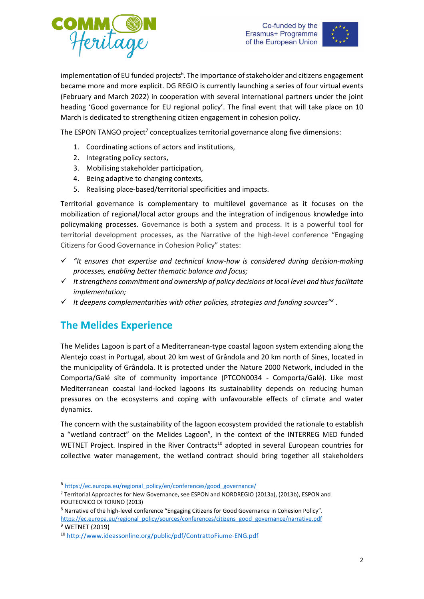



implementation of EU funded projects<sup>6</sup>. The importance of stakeholder and citizens engagement became more and more explicit. DG REGIO is currently launching a series of four virtual events (February and March 2022) in cooperation with several international partners under the joint heading 'Good governance for EU regional policy'. The final event that will take place on 10 March is dedicated to strengthening citizen engagement in cohesion policy.

The ESPON TANGO project<sup>7</sup> conceptualizes territorial governance along five dimensions:

- 1. Coordinating actions of actors and institutions,
- 2. Integrating policy sectors,
- 3. Mobilising stakeholder participation,
- 4. Being adaptive to changing contexts,
- 5. Realising place-based/territorial specificities and impacts.

Territorial governance is complementary to multilevel governance as it focuses on the mobilization of regional/local actor groups and the integration of indigenous knowledge into policymaking processes. Governance is both a system and process. It is a powerful tool for territorial development processes, as the Narrative of the high-level conference "Engaging Citizens for Good Governance in Cohesion Policy" states:

- *"It ensures that expertise and technical know-how is considered during decision-making processes, enabling better thematic balance and focus;*
- *It strengthens commitment and ownership of policy decisions at local level and thus facilitate implementation;*
- *It deepens complementarities with other policies, strategies and funding sources" 8* .

#### **The Melides Experience**

1

The Melides Lagoon is part of a Mediterranean-type coastal lagoon system extending along the Alentejo coast in Portugal, about 20 km west of Grândola and 20 km north of Sines, located in the municipality of Grândola. It is protected under the Nature 2000 Network, included in the Comporta/Galé site of community importance (PTCON0034 - Comporta/Galé). Like most Mediterranean coastal land-locked lagoons its sustainability depends on reducing human pressures on the ecosystems and coping with unfavourable effects of climate and water dynamics.

The concern with the sustainability of the lagoon ecosystem provided the rationale to establish a "wetland contract" on the Melides Lagoon $9$ , in the context of the INTERREG MED funded WETNET Project. Inspired in the River Contracts<sup>10</sup> adopted in several European countries for collective water management, the wetland contract should bring together all stakeholders

<sup>6</sup> [https://ec.europa.eu/regional\\_policy/en/conferences/good\\_governance/](https://ec.europa.eu/regional_policy/en/conferences/good_governance/)

<sup>7</sup> Territorial Approaches for New Governance, see ESPON and NORDREGIO (2013a), (2013b), ESPON and POLITECNICO DI TORINO (2013)

<sup>&</sup>lt;sup>8</sup> Narrative of the high-level conference "Engaging Citizens for Good Governance in Cohesion Policy". [https://ec.europa.eu/regional\\_policy/sources/conferences/citizens\\_good\\_governance/narrative.pdf](https://ec.europa.eu/regional_policy/sources/conferences/citizens_good_governance/narrative.pdf) <sup>9</sup> WETNET (2019)

<sup>10</sup> <http://www.ideassonline.org/public/pdf/ContrattoFiume-ENG.pdf>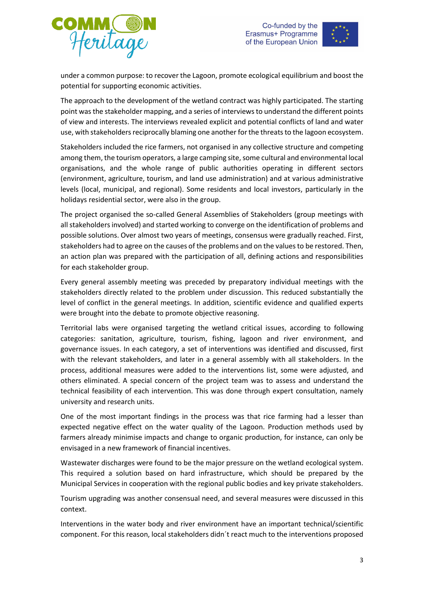



under a common purpose: to recover the Lagoon, promote ecological equilibrium and boost the potential for supporting economic activities.

The approach to the development of the wetland contract was highly participated. The starting point was the stakeholder mapping, and a series of interviews to understand the different points of view and interests. The interviews revealed explicit and potential conflicts of land and water use, with stakeholders reciprocally blaming one another for the threats to the lagoon ecosystem.

Stakeholders included the rice farmers, not organised in any collective structure and competing among them, the tourism operators, a large camping site, some cultural and environmental local organisations, and the whole range of public authorities operating in different sectors (environment, agriculture, tourism, and land use administration) and at various administrative levels (local, municipal, and regional). Some residents and local investors, particularly in the holidays residential sector, were also in the group.

The project organised the so-called General Assemblies of Stakeholders (group meetings with all stakeholders involved) and started working to converge on the identification of problems and possible solutions. Over almost two years of meetings, consensus were gradually reached. First, stakeholders had to agree on the causes of the problems and on the values to be restored. Then, an action plan was prepared with the participation of all, defining actions and responsibilities for each stakeholder group.

Every general assembly meeting was preceded by preparatory individual meetings with the stakeholders directly related to the problem under discussion. This reduced substantially the level of conflict in the general meetings. In addition, scientific evidence and qualified experts were brought into the debate to promote objective reasoning.

Territorial labs were organised targeting the wetland critical issues, according to following categories: sanitation, agriculture, tourism, fishing, lagoon and river environment, and governance issues. In each category, a set of interventions was identified and discussed, first with the relevant stakeholders, and later in a general assembly with all stakeholders. In the process, additional measures were added to the interventions list, some were adjusted, and others eliminated. A special concern of the project team was to assess and understand the technical feasibility of each intervention. This was done through expert consultation, namely university and research units.

One of the most important findings in the process was that rice farming had a lesser than expected negative effect on the water quality of the Lagoon. Production methods used by farmers already minimise impacts and change to organic production, for instance, can only be envisaged in a new framework of financial incentives.

Wastewater discharges were found to be the major pressure on the wetland ecological system. This required a solution based on hard infrastructure, which should be prepared by the Municipal Services in cooperation with the regional public bodies and key private stakeholders.

Tourism upgrading was another consensual need, and several measures were discussed in this context.

Interventions in the water body and river environment have an important technical/scientific component. For this reason, local stakeholders didn´t react much to the interventions proposed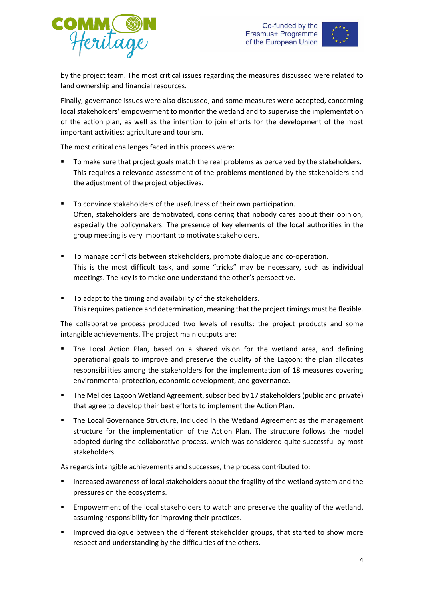



by the project team. The most critical issues regarding the measures discussed were related to land ownership and financial resources.

Finally, governance issues were also discussed, and some measures were accepted, concerning local stakeholders' empowerment to monitor the wetland and to supervise the implementation of the action plan, as well as the intention to join efforts for the development of the most important activities: agriculture and tourism.

The most critical challenges faced in this process were:

- To make sure that project goals match the real problems as perceived by the stakeholders. This requires a relevance assessment of the problems mentioned by the stakeholders and the adjustment of the project objectives.
- To convince stakeholders of the usefulness of their own participation. Often, stakeholders are demotivated, considering that nobody cares about their opinion, especially the policymakers. The presence of key elements of the local authorities in the group meeting is very important to motivate stakeholders.
- **To manage conflicts between stakeholders, promote dialogue and co-operation.** This is the most difficult task, and some "tricks" may be necessary, such as individual meetings. The key is to make one understand the other's perspective.
- To adapt to the timing and availability of the stakeholders. This requires patience and determination, meaning that the project timings must be flexible.

The collaborative process produced two levels of results: the project products and some intangible achievements. The project main outputs are:

- The Local Action Plan, based on a shared vision for the wetland area, and defining operational goals to improve and preserve the quality of the Lagoon; the plan allocates responsibilities among the stakeholders for the implementation of 18 measures covering environmental protection, economic development, and governance.
- The Melides Lagoon Wetland Agreement, subscribed by 17 stakeholders (public and private) that agree to develop their best efforts to implement the Action Plan.
- The Local Governance Structure, included in the Wetland Agreement as the management structure for the implementation of the Action Plan. The structure follows the model adopted during the collaborative process, which was considered quite successful by most stakeholders.

As regards intangible achievements and successes, the process contributed to:

- Increased awareness of local stakeholders about the fragility of the wetland system and the pressures on the ecosystems.
- Empowerment of the local stakeholders to watch and preserve the quality of the wetland, assuming responsibility for improving their practices.
- Improved dialogue between the different stakeholder groups, that started to show more respect and understanding by the difficulties of the others.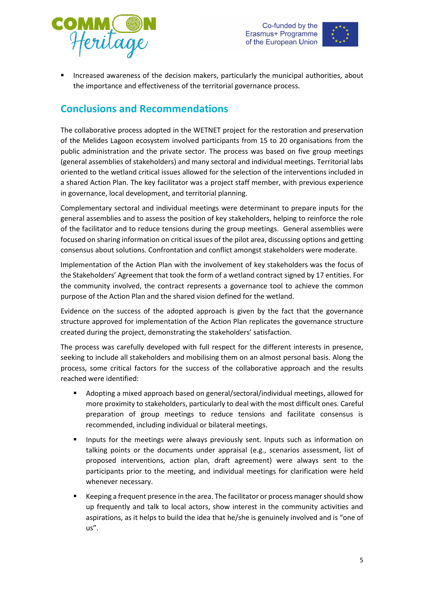



 Increased awareness of the decision makers, particularly the municipal authorities, about the importance and effectiveness of the territorial governance process.

## **Conclusions and Recommendations**

The collaborative process adopted in the WETNET project for the restoration and preservation of the Melides Lagoon ecosystem involved participants from 15 to 20 organisations from the public administration and the private sector. The process was based on five group meetings (general assemblies of stakeholders) and many sectoral and individual meetings. Territorial labs oriented to the wetland critical issues allowed for the selection of the interventions included in a shared Action Plan. The key facilitator was a project staff member, with previous experience in governance, local development, and territorial planning.

Complementary sectoral and individual meetings were determinant to prepare inputs for the general assemblies and to assess the position of key stakeholders, helping to reinforce the role of the facilitator and to reduce tensions during the group meetings. General assemblies were focused on sharing information on critical issues of the pilot area, discussing options and getting consensus about solutions. Confrontation and conflict amongst stakeholders were moderate.

Implementation of the Action Plan with the involvement of key stakeholders was the focus of the Stakeholders' Agreement that took the form of a wetland contract signed by 17 entities. For the community involved, the contract represents a governance tool to achieve the common purpose of the Action Plan and the shared vision defined for the wetland.

Evidence on the success of the adopted approach is given by the fact that the governance structure approved for implementation of the Action Plan replicates the governance structure created during the project, demonstrating the stakeholders' satisfaction.

The process was carefully developed with full respect for the different interests in presence, seeking to include all stakeholders and mobilising them on an almost personal basis. Along the process, some critical factors for the success of the collaborative approach and the results reached were identified:

- Adopting a mixed approach based on general/sectoral/individual meetings, allowed for more proximity to stakeholders, particularly to deal with the most difficult ones. Careful preparation of group meetings to reduce tensions and facilitate consensus is recommended, including individual or bilateral meetings.
- Inputs for the meetings were always previously sent. Inputs such as information on talking points or the documents under appraisal (e.g., scenarios assessment, list of proposed interventions, action plan, draft agreement) were always sent to the participants prior to the meeting, and individual meetings for clarification were held whenever necessary.
- Keeping a frequent presence in the area. The facilitator or process manager should show up frequently and talk to local actors, show interest in the community activities and aspirations, as it helps to build the idea that he/she is genuinely involved and is "one of us".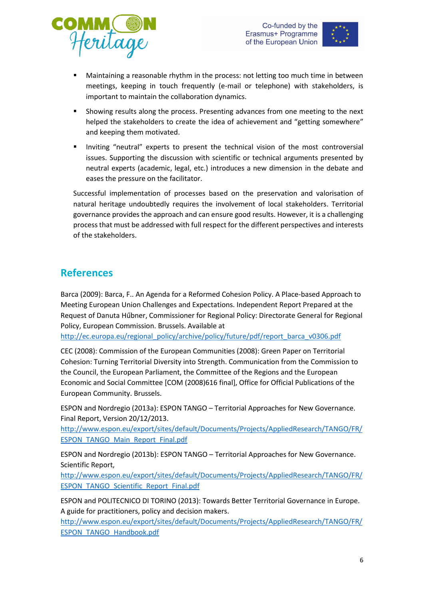



- Maintaining a reasonable rhythm in the process: not letting too much time in between meetings, keeping in touch frequently (e-mail or telephone) with stakeholders, is important to maintain the collaboration dynamics.
- Showing results along the process. Presenting advances from one meeting to the next helped the stakeholders to create the idea of achievement and "getting somewhere" and keeping them motivated.
- Inviting "neutral" experts to present the technical vision of the most controversial issues. Supporting the discussion with scientific or technical arguments presented by neutral experts (academic, legal, etc.) introduces a new dimension in the debate and eases the pressure on the facilitator.

Successful implementation of processes based on the preservation and valorisation of natural heritage undoubtedly requires the involvement of local stakeholders. Territorial governance provides the approach and can ensure good results. However, it is a challenging process that must be addressed with full respect for the different perspectives and interests of the stakeholders.

## **References**

Barca (2009): Barca, F.. An Agenda for a Reformed Cohesion Policy. A Place-based Approach to Meeting European Union Challenges and Expectations. Independent Report Prepared at the Request of Danuta Hűbner, Commissioner for Regional Policy: Directorate General for Regional Policy, European Commission. Brussels. Available at

[http://ec.europa.eu/regional\\_policy/archive/policy/future/pdf/report\\_barca\\_v0306.pdf](http://ec.europa.eu/regional_policy/archive/policy/future/pdf/report_barca_v0306.pdf)

CEC (2008): Commission of the European Communities (2008): Green Paper on Territorial Cohesion: Turning Territorial Diversity into Strength. Communication from the Commission to the Council, the European Parliament, the Committee of the Regions and the European Economic and Social Committee [COM (2008)616 final], Office for Official Publications of the European Community. Brussels.

ESPON and Nordregio (2013a): ESPON TANGO – Territorial Approaches for New Governance. Final Report, Version 20/12/2013.

[http://www.espon.eu/export/sites/default/Documents/Projects/AppliedResearch/TANGO/FR/](http://www.espon.eu/export/sites/default/Documents/Projects/AppliedResearch/TANGO/FR/ESPON_TANGO_Main_Report_Final.pdf) [ESPON\\_TANGO\\_Main\\_Report\\_Final.pdf](http://www.espon.eu/export/sites/default/Documents/Projects/AppliedResearch/TANGO/FR/ESPON_TANGO_Main_Report_Final.pdf)

ESPON and Nordregio (2013b): ESPON TANGO – Territorial Approaches for New Governance. Scientific Report,

[http://www.espon.eu/export/sites/default/Documents/Projects/AppliedResearch/TANGO/FR/](http://www.espon.eu/export/sites/default/Documents/Projects/AppliedResearch/TANGO/FR/ESPON_TANGO_Scientific_Report_Final.pdf) [ESPON\\_TANGO\\_Scientific\\_Report\\_Final.pdf](http://www.espon.eu/export/sites/default/Documents/Projects/AppliedResearch/TANGO/FR/ESPON_TANGO_Scientific_Report_Final.pdf)

ESPON and POLITECNICO DI TORINO (2013): Towards Better Territorial Governance in Europe. A guide for practitioners, policy and decision makers.

[http://www.espon.eu/export/sites/default/Documents/Projects/AppliedResearch/TANGO/FR/](http://www.espon.eu/export/sites/default/Documents/Projects/AppliedResearch/TANGO/FR/ESPON_TANGO_Handbook.pdf) [ESPON\\_TANGO\\_Handbook.pdf](http://www.espon.eu/export/sites/default/Documents/Projects/AppliedResearch/TANGO/FR/ESPON_TANGO_Handbook.pdf)